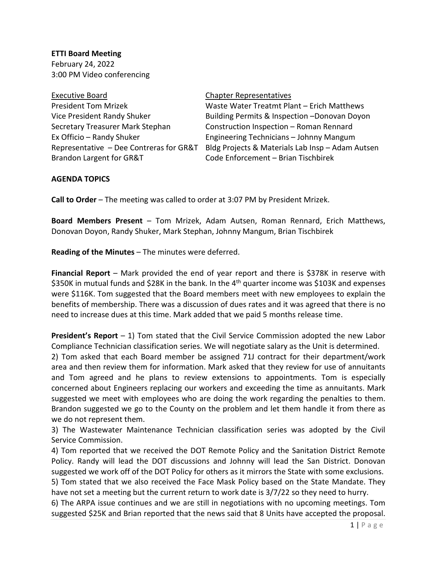**ETTI Board Meeting** February 24, 2022 3:00 PM Video conferencing

## Executive Board **Chapter Representatives** Secretary Treasurer Mark Stephan Construction Inspection – Roman Rennard Brandon Largent for GR&T Code Enforcement – Brian Tischbirek

President Tom Mrizek Waste Water Treatmt Plant – Erich Matthews Vice President Randy Shuker Building Permits & Inspection –Donovan Doyon Ex Officio – Randy Shuker Engineering Technicians – Johnny Mangum Representative – Dee Contreras for GR&T Bldg Projects & Materials Lab Insp – Adam Autsen

## **AGENDA TOPICS**

**Call to Order** – The meeting was called to order at 3:07 PM by President Mrizek.

**Board Members Present** – Tom Mrizek, Adam Autsen, Roman Rennard, Erich Matthews, Donovan Doyon, Randy Shuker, Mark Stephan, Johnny Mangum, Brian Tischbirek

**Reading of the Minutes** – The minutes were deferred.

**Financial Report** – Mark provided the end of year report and there is \$378K in reserve with \$350K in mutual funds and \$28K in the bank. In the 4<sup>th</sup> quarter income was \$103K and expenses were \$116K. Tom suggested that the Board members meet with new employees to explain the benefits of membership. There was a discussion of dues rates and it was agreed that there is no need to increase dues at this time. Mark added that we paid 5 months release time.

**President's Report** – 1) Tom stated that the Civil Service Commission adopted the new Labor Compliance Technician classification series. We will negotiate salary as the Unit is determined.

2) Tom asked that each Board member be assigned 71J contract for their department/work area and then review them for information. Mark asked that they review for use of annuitants and Tom agreed and he plans to review extensions to appointments. Tom is especially concerned about Engineers replacing our workers and exceeding the time as annuitants. Mark suggested we meet with employees who are doing the work regarding the penalties to them. Brandon suggested we go to the County on the problem and let them handle it from there as we do not represent them.

3) The Wastewater Maintenance Technician classification series was adopted by the Civil Service Commission.

4) Tom reported that we received the DOT Remote Policy and the Sanitation District Remote Policy. Randy will lead the DOT discussions and Johnny will lead the San District. Donovan suggested we work off of the DOT Policy for others as it mirrors the State with some exclusions. 5) Tom stated that we also received the Face Mask Policy based on the State Mandate. They

have not set a meeting but the current return to work date is 3/7/22 so they need to hurry.

6) The ARPA issue continues and we are still in negotiations with no upcoming meetings. Tom suggested \$25K and Brian reported that the news said that 8 Units have accepted the proposal.